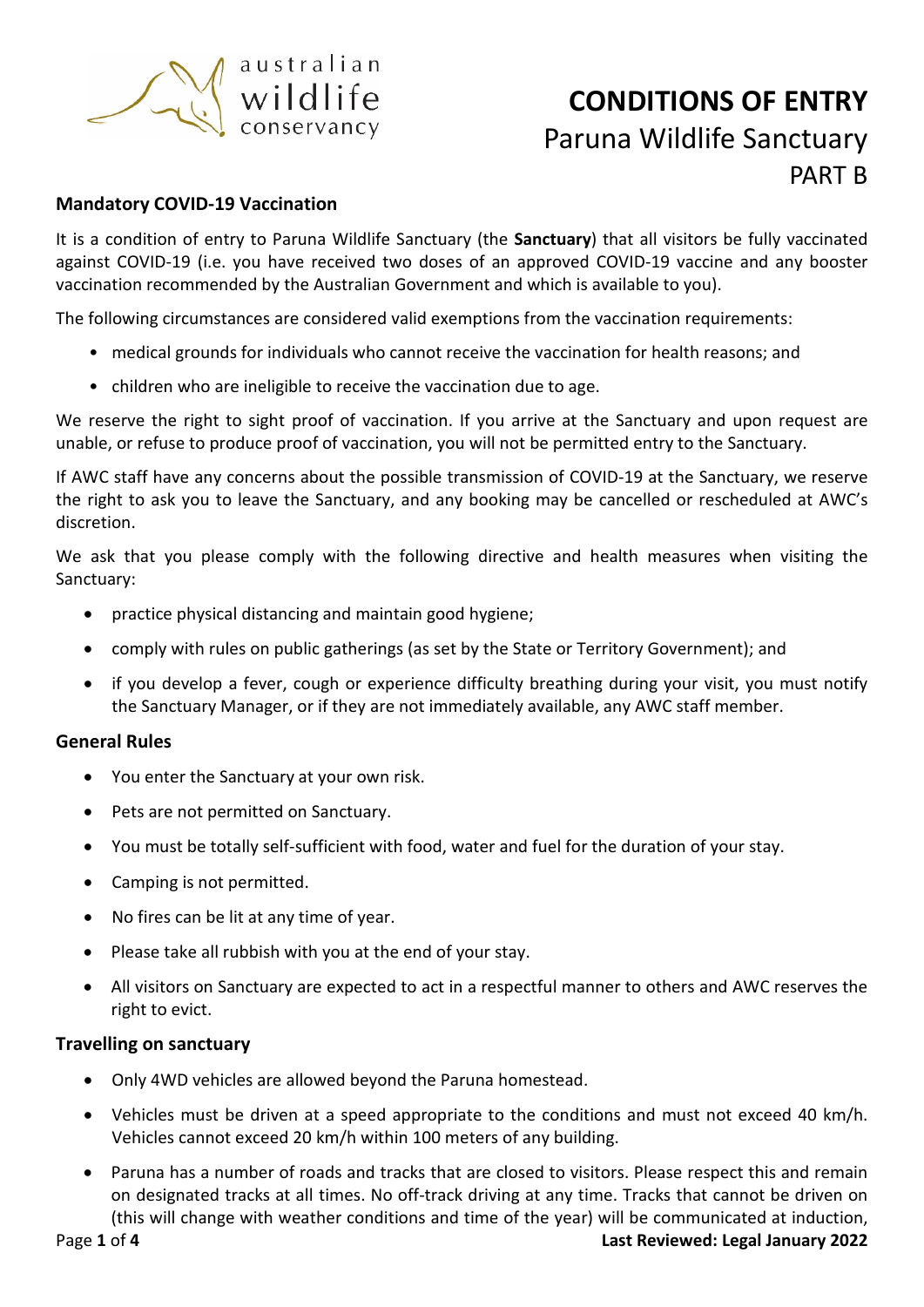

## **Mandatory COVID-19 Vaccination**

It is a condition of entry to Paruna Wildlife Sanctuary (the **Sanctuary**) that all visitors be fully vaccinated against COVID-19 (i.e. you have received two doses of an approved COVID-19 vaccine and any booster vaccination recommended by the Australian Government and which is available to you).

The following circumstances are considered valid exemptions from the vaccination requirements:

- medical grounds for individuals who cannot receive the vaccination for health reasons; and
- children who are ineligible to receive the vaccination due to age.

We reserve the right to sight proof of vaccination. If you arrive at the Sanctuary and upon request are unable, or refuse to produce proof of vaccination, you will not be permitted entry to the Sanctuary.

If AWC staff have any concerns about the possible transmission of COVID-19 at the Sanctuary, we reserve the right to ask you to leave the Sanctuary, and any booking may be cancelled or rescheduled at AWC's discretion.

We ask that you please comply with the following directive and health measures when visiting the Sanctuary:

- practice physical distancing and maintain good hygiene;
- comply with rules on public gatherings (as set by the State or Territory Government); and
- if you develop a fever, cough or experience difficulty breathing during your visit, you must notify the Sanctuary Manager, or if they are not immediately available, any AWC staff member.

#### **General Rules**

- You enter the Sanctuary at your own risk.
- Pets are not permitted on Sanctuary.
- You must be totally self-sufficient with food, water and fuel for the duration of your stay.
- Camping is not permitted.
- No fires can be lit at any time of year.
- Please take all rubbish with you at the end of your stay.
- All visitors on Sanctuary are expected to act in a respectful manner to others and AWC reserves the right to evict.

#### **Travelling on sanctuary**

- Only 4WD vehicles are allowed beyond the Paruna homestead.
- Vehicles must be driven at a speed appropriate to the conditions and must not exceed 40 km/h. Vehicles cannot exceed 20 km/h within 100 meters of any building.
- Paruna has a number of roads and tracks that are closed to visitors. Please respect this and remain on designated tracks at all times. No off-track driving at any time. Tracks that cannot be driven on (this will change with weather conditions and time of the year) will be communicated at induction,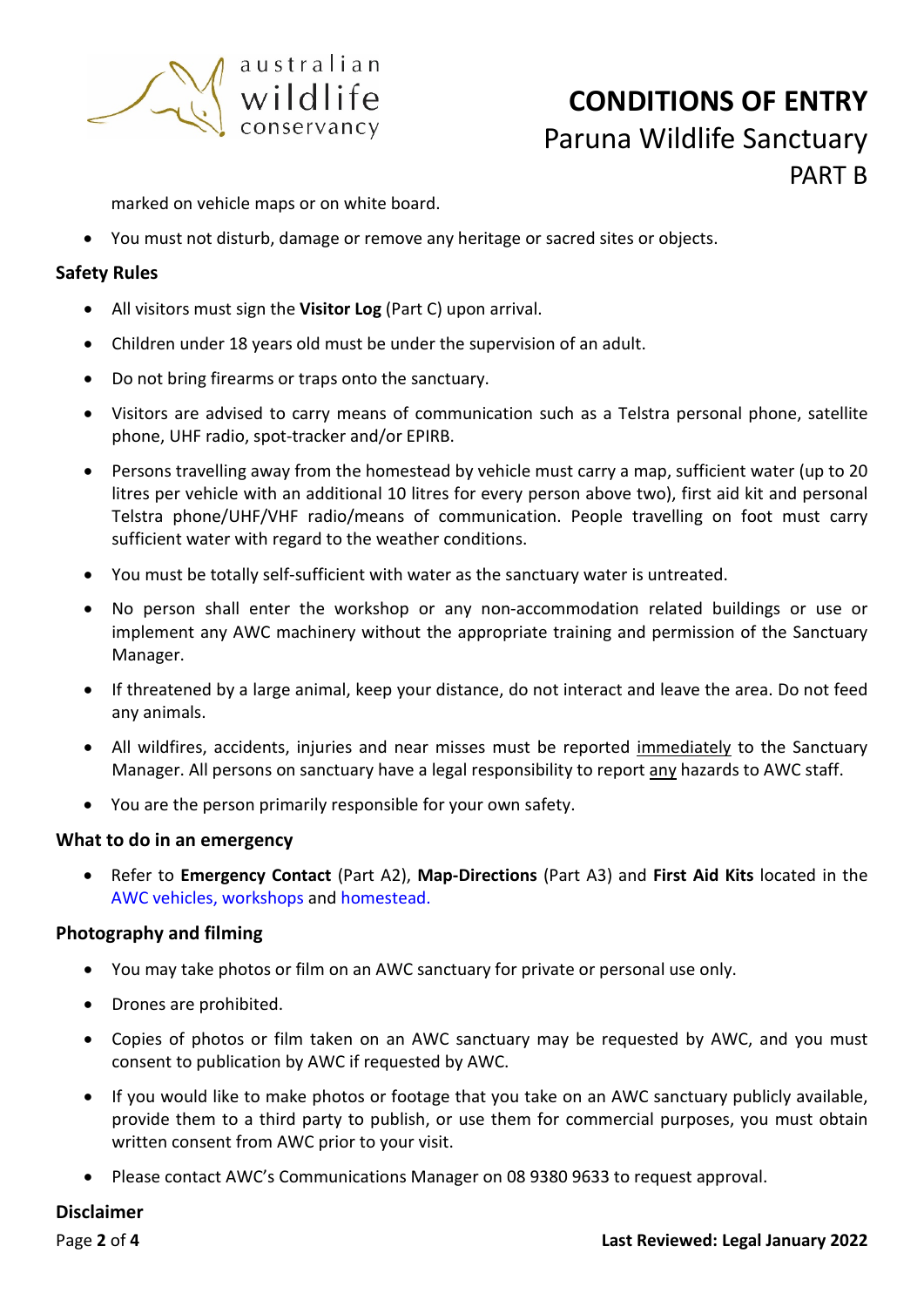

marked on vehicle maps or on white board.

• You must not disturb, damage or remove any heritage or sacred sites or objects.

## **Safety Rules**

- All visitors must sign the **Visitor Log** (Part C) upon arrival.
- Children under 18 years old must be under the supervision of an adult.
- Do not bring firearms or traps onto the sanctuary.
- Visitors are advised to carry means of communication such as a Telstra personal phone, satellite phone, UHF radio, spot-tracker and/or EPIRB.
- Persons travelling away from the homestead by vehicle must carry a map, sufficient water (up to 20 litres per vehicle with an additional 10 litres for every person above two), first aid kit and personal Telstra phone/UHF/VHF radio/means of communication. People travelling on foot must carry sufficient water with regard to the weather conditions.
- You must be totally self-sufficient with water as the sanctuary water is untreated.
- No person shall enter the workshop or any non-accommodation related buildings or use or implement any AWC machinery without the appropriate training and permission of the Sanctuary Manager.
- If threatened by a large animal, keep your distance, do not interact and leave the area. Do not feed any animals.
- All wildfires, accidents, injuries and near misses must be reported immediately to the Sanctuary Manager. All persons on sanctuary have a legal responsibility to report any hazards to AWC staff.
- You are the person primarily responsible for your own safety.

#### **What to do in an emergency**

• Refer to **Emergency Contact** (Part A2), **Map-Directions** (Part A3) and **First Aid Kits** located in the AWC vehicles, workshops and homestead.

# **Photography and filming**

- You may take photos or film on an AWC sanctuary for private or personal use only.
- Drones are prohibited.
- Copies of photos or film taken on an AWC sanctuary may be requested by AWC, and you must consent to publication by AWC if requested by AWC.
- If you would like to make photos or footage that you take on an AWC sanctuary publicly available, provide them to a third party to publish, or use them for commercial purposes, you must obtain written consent from AWC prior to your visit.
- Please contact AWC's Communications Manager on 08 9380 9633 to request approval.

# **Disclaimer**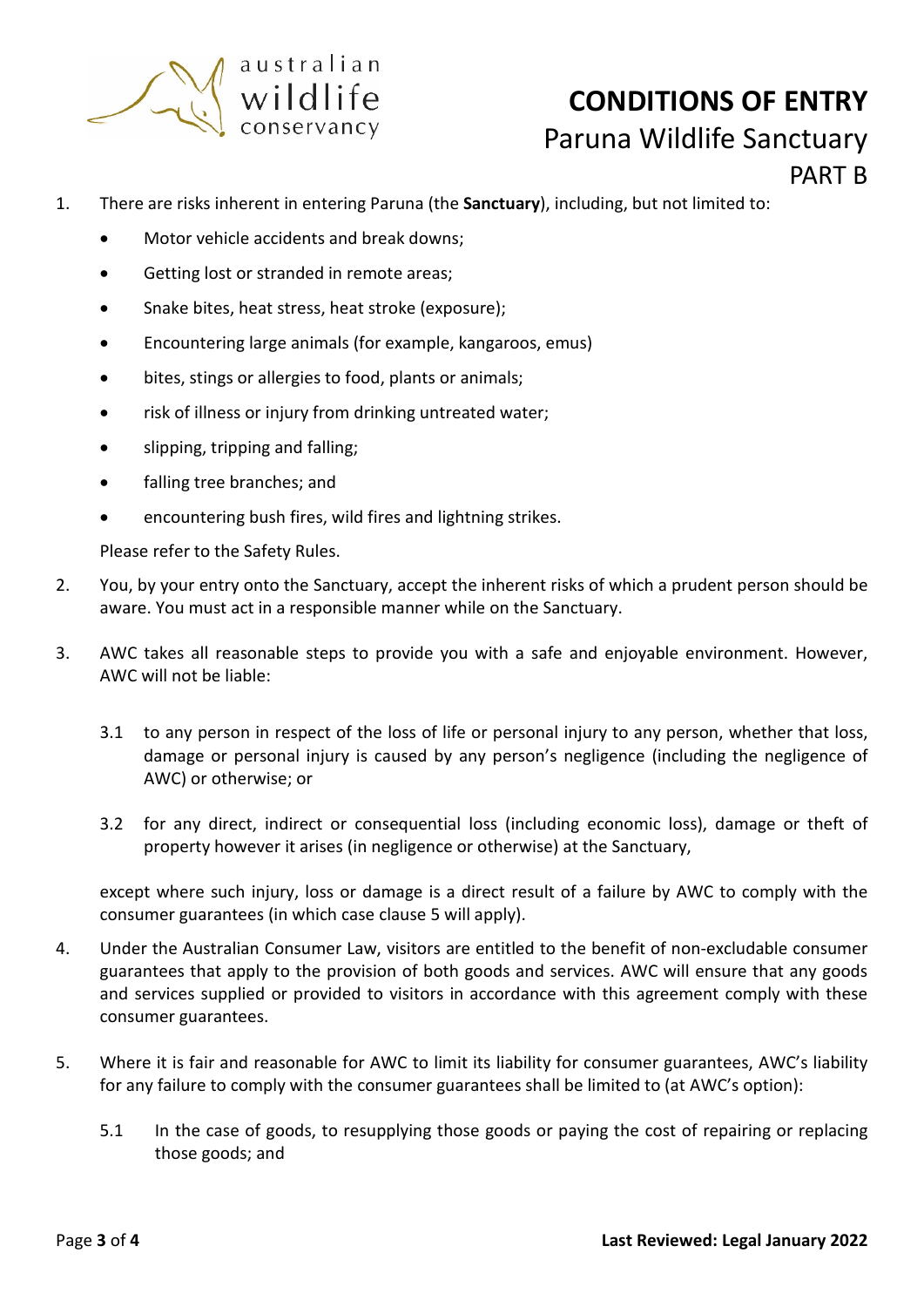

- 1. There are risks inherent in entering Paruna (the **Sanctuary**), including, but not limited to:
	- Motor vehicle accidents and break downs;
	- Getting lost or stranded in remote areas;
	- Snake bites, heat stress, heat stroke (exposure);
	- Encountering large animals (for example, kangaroos, emus)
	- bites, stings or allergies to food, plants or animals;
	- risk of illness or injury from drinking untreated water;
	- slipping, tripping and falling;
	- falling tree branches; and
	- encountering bush fires, wild fires and lightning strikes.

Please refer to the Safety Rules.

- 2. You, by your entry onto the Sanctuary, accept the inherent risks of which a prudent person should be aware. You must act in a responsible manner while on the Sanctuary.
- 3. AWC takes all reasonable steps to provide you with a safe and enjoyable environment. However, AWC will not be liable:
	- 3.1 to any person in respect of the loss of life or personal injury to any person, whether that loss, damage or personal injury is caused by any person's negligence (including the negligence of AWC) or otherwise; or
	- 3.2 for any direct, indirect or consequential loss (including economic loss), damage or theft of property however it arises (in negligence or otherwise) at the Sanctuary,

except where such injury, loss or damage is a direct result of a failure by AWC to comply with the consumer guarantees (in which case clause 5 will apply).

- 4. Under the Australian Consumer Law, visitors are entitled to the benefit of non-excludable consumer guarantees that apply to the provision of both goods and services. AWC will ensure that any goods and services supplied or provided to visitors in accordance with this agreement comply with these consumer guarantees.
- 5. Where it is fair and reasonable for AWC to limit its liability for consumer guarantees, AWC's liability for any failure to comply with the consumer guarantees shall be limited to (at AWC's option):
	- 5.1 In the case of goods, to resupplying those goods or paying the cost of repairing or replacing those goods; and